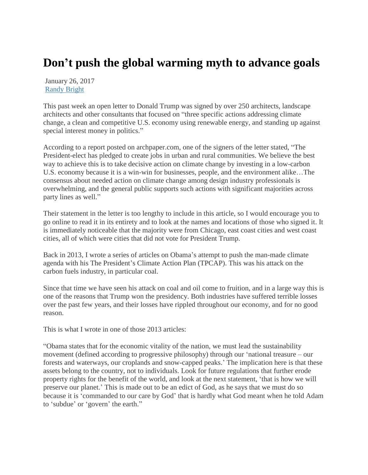## **Don't push the global warming myth to advance goals**

January 26, 2017 [Randy Bright](http://tulsabeacon.com/author/randy-bright/)

This past week an open letter to Donald Trump was signed by over 250 architects, landscape architects and other consultants that focused on "three specific actions addressing climate change, a clean and competitive U.S. economy using renewable energy, and standing up against special interest money in politics."

According to a report posted on archpaper.com, one of the signers of the letter stated, "The President-elect has pledged to create jobs in urban and rural communities. We believe the best way to achieve this is to take decisive action on climate change by investing in a low-carbon U.S. economy because it is a win-win for businesses, people, and the environment alike…The consensus about needed action on climate change among design industry professionals is overwhelming, and the general public supports such actions with significant majorities across party lines as well."

Their statement in the letter is too lengthy to include in this article, so I would encourage you to go online to read it in its entirety and to look at the names and locations of those who signed it. It is immediately noticeable that the majority were from Chicago, east coast cities and west coast cities, all of which were cities that did not vote for President Trump.

Back in 2013, I wrote a series of articles on Obama"s attempt to push the man-made climate agenda with his The President"s Climate Action Plan (TPCAP). This was his attack on the carbon fuels industry, in particular coal.

Since that time we have seen his attack on coal and oil come to fruition, and in a large way this is one of the reasons that Trump won the presidency. Both industries have suffered terrible losses over the past few years, and their losses have rippled throughout our economy, and for no good reason.

This is what I wrote in one of those 2013 articles:

"Obama states that for the economic vitality of the nation, we must lead the sustainability movement (defined according to progressive philosophy) through our "national treasure – our forests and waterways, our croplands and snow-capped peaks." The implication here is that these assets belong to the country, not to individuals. Look for future regulations that further erode property rights for the benefit of the world, and look at the next statement, "that is how we will preserve our planet." This is made out to be an edict of God, as he says that we must do so because it is "commanded to our care by God" that is hardly what God meant when he told Adam to "subdue" or "govern" the earth."